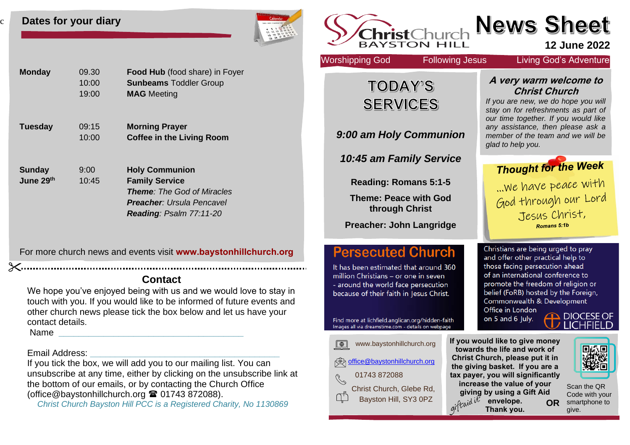#### **Dates for your diary**

c



| <b>Monday</b>                          | 09.30<br>10:00<br>19:00 | <b>Food Hub</b> (food share) in Foyer<br><b>Sunbeams Toddler Group</b><br><b>MAG</b> Meeting                                                              |
|----------------------------------------|-------------------------|-----------------------------------------------------------------------------------------------------------------------------------------------------------|
| <b>Tuesday</b>                         | 09:15<br>10:00          | <b>Morning Prayer</b><br><b>Coffee in the Living Room</b>                                                                                                 |
| <b>Sunday</b><br>June 29 <sup>th</sup> | 9:00<br>10:45           | <b>Holy Communion</b><br><b>Family Service</b><br><b>Theme:</b> The God of Miracles<br><b>Preacher:</b> Ursula Pencavel<br><b>Reading: Psalm 77:11-20</b> |

For more church news and events visit **[www.baystonhillchurch.org](http://www.baystonhillchurch.org/)**

# **Contact**

We hope you've enjoyed being with us and we would love to stay in touch with you. If you would like to be informed of future events and other church news please tick the box below and let us have your contact details. Name **\_\_\_\_\_\_\_\_\_\_\_\_\_\_\_\_\_\_\_\_\_\_\_\_\_\_\_\_\_\_\_\_\_\_\_\_\_**

Email Address: **\_\_\_\_\_\_\_\_\_\_\_\_\_\_\_\_\_\_\_\_\_\_\_\_\_\_\_\_\_\_\_\_\_\_\_\_\_\_**

If you tick the box, we will add you to our mailing list. You can unsubscribe at any time, either by clicking on the unsubscribe link at the bottom of our emails, or by contacting the Church Office [\(office@baystonhillchurch.org](mailto:office@baystonhillchurch.org) <sup>2</sup> 01743 872088).

*Christ Church Bayston Hill PCC is a Registered Charity, No 1130869*

| hristChurch<br><b>YSTON</b>                                                                                                                                                                                                                                                                           |                                                                                                                                                                                                                                                                                 | <b>News Sheet</b>                                                                                                                                                                                                                                          | <b>12 June 2022</b>                                            |
|-------------------------------------------------------------------------------------------------------------------------------------------------------------------------------------------------------------------------------------------------------------------------------------------------------|---------------------------------------------------------------------------------------------------------------------------------------------------------------------------------------------------------------------------------------------------------------------------------|------------------------------------------------------------------------------------------------------------------------------------------------------------------------------------------------------------------------------------------------------------|----------------------------------------------------------------|
| <b>Worshipping God</b>                                                                                                                                                                                                                                                                                | <b>Following Jesus</b>                                                                                                                                                                                                                                                          | <b>Living God's Adventure</b>                                                                                                                                                                                                                              |                                                                |
| <b>TODAY'S</b>                                                                                                                                                                                                                                                                                        |                                                                                                                                                                                                                                                                                 | A very warm welcome to<br><b>Christ Church</b>                                                                                                                                                                                                             |                                                                |
| <b>SERVICES</b>                                                                                                                                                                                                                                                                                       |                                                                                                                                                                                                                                                                                 | If you are new, we do hope you will<br>stay on for refreshments as part of                                                                                                                                                                                 |                                                                |
| 9:00 am Holy Communion                                                                                                                                                                                                                                                                                |                                                                                                                                                                                                                                                                                 | our time together. If you would like<br>any assistance, then please ask a<br>member of the team and we will be<br>glad to help you.                                                                                                                        |                                                                |
| 10:45 am Family Service                                                                                                                                                                                                                                                                               |                                                                                                                                                                                                                                                                                 | <b>Thought for the Week</b>                                                                                                                                                                                                                                |                                                                |
| <b>Reading: Romans 5:1-5</b>                                                                                                                                                                                                                                                                          |                                                                                                                                                                                                                                                                                 | we have peace with                                                                                                                                                                                                                                         |                                                                |
| <b>Theme: Peace with God</b><br>through Christ                                                                                                                                                                                                                                                        |                                                                                                                                                                                                                                                                                 | God through our Lord                                                                                                                                                                                                                                       |                                                                |
| <b>Preacher: John Langridge</b>                                                                                                                                                                                                                                                                       |                                                                                                                                                                                                                                                                                 | Jesus Christ,<br>Romans 5:1b                                                                                                                                                                                                                               |                                                                |
| <b>Persecuted Church</b><br>It has been estimated that around 360<br>million Christians - or one in seven<br>- around the world face persecution<br>because of their faith in Jesus Christ.<br>Find more at lichfield.anglican.org/hidden-faith<br>Images all via dreamstime.com - details on webpage | Office in London<br>on 5 and 6 July.                                                                                                                                                                                                                                            | Christians are being urged to pray<br>and offer other practical help to<br>those facing persecution ahead<br>of an international conference to<br>promote the freedom of religion or<br>belief (FoRB) hosted by the Foreign,<br>Commonwealth & Development | DCESE OF                                                       |
| www.baystonhillchurch.org<br>$\boxed{\oplus}$<br>office@baystonhillchurch.org<br>01743 872088<br>Christ Church, Glebe Rd,<br>Bayston Hill, SY3 0PZ                                                                                                                                                    | If you would like to give money<br>towards the life and work of<br>Christ Church, please put it in<br>the giving basket. If you are a<br>tax payer, you will significantly<br>increase the value of your<br>giving by using a Gift Aid<br>giftaid it<br>envelope.<br>Thank you. | OR                                                                                                                                                                                                                                                         | 回念回<br>Scan the QR<br>Code with your<br>smartphone to<br>give. |